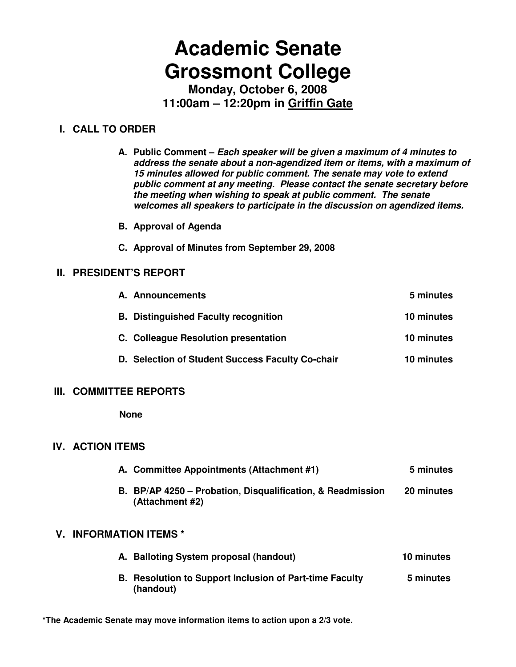# **Academic Senate Grossmont College**

**Monday, October 6, 2008 11:00am – 12:20pm in Griffin Gate**

# **I. CALL TO ORDER**

**A. Public Comment – Each speaker will be given a maximum of 4 minutes to address the senate about a non-agendized item or items, with a maximum of 15 minutes allowed for public comment. The senate may vote to extend public comment at any meeting. Please contact the senate secretary before the meeting when wishing to speak at public comment. The senate welcomes all speakers to participate in the discussion on agendized items.** 

- **B. Approval of Agenda**
- **C. Approval of Minutes from September 29, 2008**

# **II. PRESIDENT'S REPORT**

| A. Announcements                                 | 5 minutes  |
|--------------------------------------------------|------------|
| <b>B.</b> Distinguished Faculty recognition      | 10 minutes |
| C. Colleague Resolution presentation             | 10 minutes |
| D. Selection of Student Success Faculty Co-chair | 10 minutes |

# **III. COMMITTEE REPORTS**

 **None** 

# **IV. ACTION ITEMS**

| A. Committee Appointments (Attachment #1)                                     | 5 minutes  |
|-------------------------------------------------------------------------------|------------|
| B. BP/AP 4250 – Probation, Disqualification, & Readmission<br>(Attachment #2) | 20 minutes |

# **V. INFORMATION ITEMS \***

| A. Balloting System proposal (handout)                                      | 10 minutes |
|-----------------------------------------------------------------------------|------------|
| <b>B.</b> Resolution to Support Inclusion of Part-time Faculty<br>(handout) | 5 minutes  |

**\*The Academic Senate may move information items to action upon a 2/3 vote.**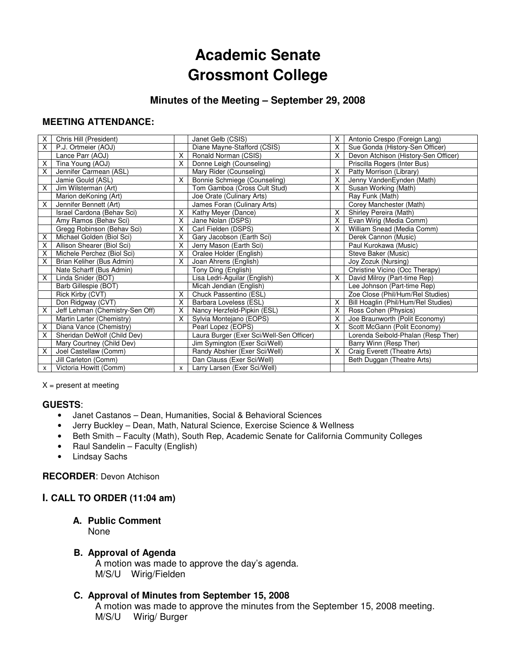# **Academic Senate Grossmont College**

# **Minutes of the Meeting – September 29, 2008**

#### **MEETING ATTENDANCE:**

| X | Chris Hill (President)          |   | Janet Gelb (CSIS)                        | X.             | Antonio Crespo (Foreign Lang)        |
|---|---------------------------------|---|------------------------------------------|----------------|--------------------------------------|
| X | P.J. Ortmeier (AOJ)             |   | Diane Mayne-Stafford (CSIS)              | X.             | Sue Gonda (History-Sen Officer)      |
|   | Lance Parr (AOJ)                | X | Ronald Norman (CSIS)                     | X.             | Devon Atchison (History-Sen Officer) |
| X | Tina Young (AOJ)                | X | Donne Leigh (Counseling)                 |                | Priscilla Rogers (Inter Bus)         |
| X | Jennifer Carmean (ASL)          |   | Mary Rider (Counseling)                  | $\overline{X}$ | Patty Morrison (Library)             |
|   | Jamie Gould (ASL)               | X | Bonnie Schmiege (Counseling)             | X.             | Jenny VandenEynden (Math)            |
| X | Jim Wilsterman (Art)            |   | Tom Gamboa (Cross Cult Stud)             | X.             | Susan Working (Math)                 |
|   | Marion deKoning (Art)           |   | Joe Orate (Culinary Arts)                |                | Ray Funk (Math)                      |
| X | Jennifer Bennett (Art)          |   | James Foran (Culinary Arts)              |                | Corey Manchester (Math)              |
|   | Israel Cardona (Behav Sci)      | X | Kathy Meyer (Dance)                      | X.             | Shirley Pereira (Math)               |
|   | Amy Ramos (Behav Sci)           | X | Jane Nolan (DSPS)                        | X.             | Evan Wirig (Media Comm)              |
|   | Gregg Robinson (Behav Sci)      | X | Carl Fielden (DSPS)                      | X.             | William Snead (Media Comm)           |
| X | Michael Golden (Biol Sci)       | X | Gary Jacobson (Earth Sci)                |                | Derek Cannon (Music)                 |
| X | Allison Shearer (Biol Sci)      | X | Jerry Mason (Earth Sci)                  |                | Paul Kurokawa (Music)                |
| X | Michele Perchez (Biol Sci)      | X | Oralee Holder (English)                  |                | Steve Baker (Music)                  |
| X | Brian Keliher (Bus Admin)       | X | Joan Ahrens (English)                    |                | Joy Zozuk (Nursing)                  |
|   | Nate Scharff (Bus Admin)        |   | Tony Ding (English)                      |                | Christine Vicino (Occ Therapy)       |
| X | Linda Snider (BOT)              |   | Lisa Ledri-Aguilar (English)             | X.             | David Milroy (Part-time Rep)         |
|   | Barb Gillespie (BOT)            |   | Micah Jendian (English)                  |                | Lee Johnson (Part-time Rep)          |
|   | Rick Kirby (CVT)                | X | Chuck Passentino (ESL)                   |                | Zoe Close (Phil/Hum/Rel Studies)     |
|   | Don Ridgway (CVT)               | X | Barbara Loveless (ESL)                   | X.             | Bill Hoaglin (Phil/Hum/Rel Studies)  |
| X | Jeff Lehman (Chemistry-Sen Off) | X | Nancy Herzfeld-Pipkin (ESL)              | X.             | Ross Cohen (Physics)                 |
|   | Martin Larter (Chemistry)       | X | Sylvia Montejano (EOPS)                  | X.             | Joe Braunworth (Polit Economy)       |
| X | Diana Vance (Chemistry)         |   | Pearl Lopez (EOPS)                       | X.             | Scott McGann (Polit Economy)         |
| X | Sheridan DeWolf (Child Dev)     |   | Laura Burger (Exer Sci/Well-Sen Officer) |                | Lorenda Seibold-Phalan (Resp Ther)   |
|   | Mary Courtney (Child Dev)       |   | Jim Symington (Exer Sci/Well)            |                | Barry Winn (Resp Ther)               |
| X | Joel Castellaw (Comm)           |   | Randy Abshier (Exer Sci/Well)            | $\overline{X}$ | Craig Everett (Theatre Arts)         |
|   | Jill Carleton (Comm)            |   | Dan Clauss (Exer Sci/Well)               |                | Beth Duggan (Theatre Arts)           |
| x | Victoria Howitt (Comm)          | X | Larry Larsen (Exer Sci/Well)             |                |                                      |

 $X =$  present at meeting

#### **GUESTS**:

- Janet Castanos Dean, Humanities, Social & Behavioral Sciences
- Jerry Buckley Dean, Math, Natural Science, Exercise Science & Wellness
- Beth Smith Faculty (Math), South Rep, Academic Senate for California Community Colleges
- Raul Sandelin Faculty (English)
- Lindsay Sachs

#### **RECORDER**: Devon Atchison

#### **I. CALL TO ORDER (11:04 am)**

# **A. Public Comment**

None

#### **B. Approval of Agenda**

A motion was made to approve the day's agenda. M/S/U Wirig/Fielden

#### **C. Approval of Minutes from September 15, 2008**

 A motion was made to approve the minutes from the September 15, 2008 meeting. M/S/U Wirig/ Burger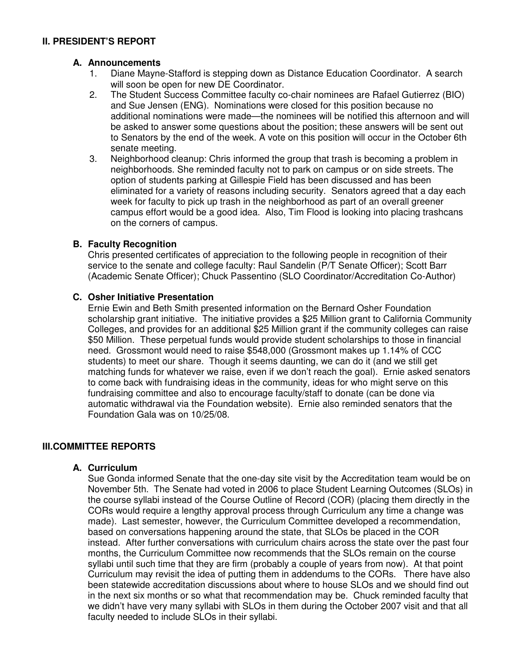#### **A. Announcements**

- 1. Diane Mayne-Stafford is stepping down as Distance Education Coordinator. A search will soon be open for new DE Coordinator.
- 2. The Student Success Committee faculty co-chair nominees are Rafael Gutierrez (BIO) and Sue Jensen (ENG). Nominations were closed for this position because no additional nominations were made—the nominees will be notified this afternoon and will be asked to answer some questions about the position; these answers will be sent out to Senators by the end of the week. A vote on this position will occur in the October 6th senate meeting.
- 3. Neighborhood cleanup: Chris informed the group that trash is becoming a problem in neighborhoods. She reminded faculty not to park on campus or on side streets. The option of students parking at Gillespie Field has been discussed and has been eliminated for a variety of reasons including security. Senators agreed that a day each week for faculty to pick up trash in the neighborhood as part of an overall greener campus effort would be a good idea. Also, Tim Flood is looking into placing trashcans on the corners of campus.

#### **B. Faculty Recognition**

Chris presented certificates of appreciation to the following people in recognition of their service to the senate and college faculty: Raul Sandelin (P/T Senate Officer); Scott Barr (Academic Senate Officer); Chuck Passentino (SLO Coordinator/Accreditation Co-Author)

#### **C. Osher Initiative Presentation**

Ernie Ewin and Beth Smith presented information on the Bernard Osher Foundation scholarship grant initiative. The initiative provides a \$25 Million grant to California Community Colleges, and provides for an additional \$25 Million grant if the community colleges can raise \$50 Million. These perpetual funds would provide student scholarships to those in financial need. Grossmont would need to raise \$548,000 (Grossmont makes up 1.14% of CCC students) to meet our share. Though it seems daunting, we can do it (and we still get matching funds for whatever we raise, even if we don't reach the goal). Ernie asked senators to come back with fundraising ideas in the community, ideas for who might serve on this fundraising committee and also to encourage faculty/staff to donate (can be done via automatic withdrawal via the Foundation website). Ernie also reminded senators that the Foundation Gala was on 10/25/08.

# **III.COMMITTEE REPORTS**

#### **A. Curriculum**

Sue Gonda informed Senate that the one-day site visit by the Accreditation team would be on November 5th. The Senate had voted in 2006 to place Student Learning Outcomes (SLOs) in the course syllabi instead of the Course Outline of Record (COR) (placing them directly in the CORs would require a lengthy approval process through Curriculum any time a change was made). Last semester, however, the Curriculum Committee developed a recommendation, based on conversations happening around the state, that SLOs be placed in the COR instead. After further conversations with curriculum chairs across the state over the past four months, the Curriculum Committee now recommends that the SLOs remain on the course syllabi until such time that they are firm (probably a couple of years from now). At that point Curriculum may revisit the idea of putting them in addendums to the CORs. There have also been statewide accreditation discussions about where to house SLOs and we should find out in the next six months or so what that recommendation may be. Chuck reminded faculty that we didn't have very many syllabi with SLOs in them during the October 2007 visit and that all faculty needed to include SLOs in their syllabi.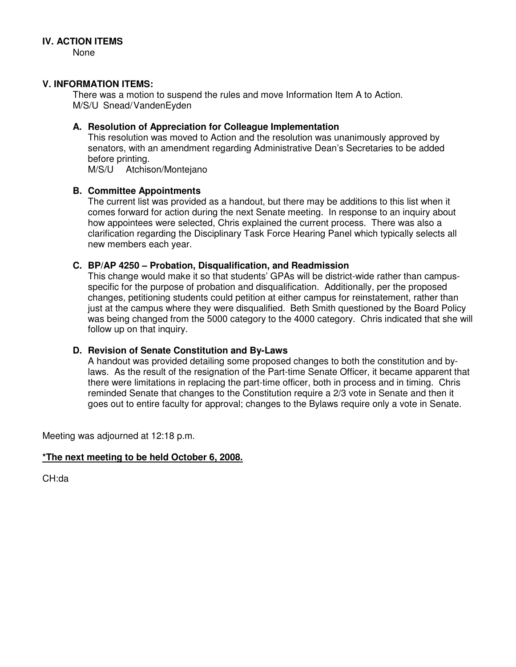None

#### **V. INFORMATION ITEMS:**

There was a motion to suspend the rules and move Information Item A to Action. M/S/U Snead/VandenEyden

#### **A. Resolution of Appreciation for Colleague Implementation**

This resolution was moved to Action and the resolution was unanimously approved by senators, with an amendment regarding Administrative Dean's Secretaries to be added before printing.

M/S/U Atchison/Montejano

#### **B. Committee Appointments**

The current list was provided as a handout, but there may be additions to this list when it comes forward for action during the next Senate meeting. In response to an inquiry about how appointees were selected, Chris explained the current process. There was also a clarification regarding the Disciplinary Task Force Hearing Panel which typically selects all new members each year.

#### **C. BP/AP 4250 – Probation, Disqualification, and Readmission**

This change would make it so that students' GPAs will be district-wide rather than campusspecific for the purpose of probation and disqualification. Additionally, per the proposed changes, petitioning students could petition at either campus for reinstatement, rather than just at the campus where they were disqualified. Beth Smith questioned by the Board Policy was being changed from the 5000 category to the 4000 category. Chris indicated that she will follow up on that inquiry.

#### **D. Revision of Senate Constitution and By-Laws**

A handout was provided detailing some proposed changes to both the constitution and bylaws. As the result of the resignation of the Part-time Senate Officer, it became apparent that there were limitations in replacing the part-time officer, both in process and in timing. Chris reminded Senate that changes to the Constitution require a 2/3 vote in Senate and then it goes out to entire faculty for approval; changes to the Bylaws require only a vote in Senate.

Meeting was adjourned at 12:18 p.m.

#### **\*The next meeting to be held October 6, 2008.**

CH:da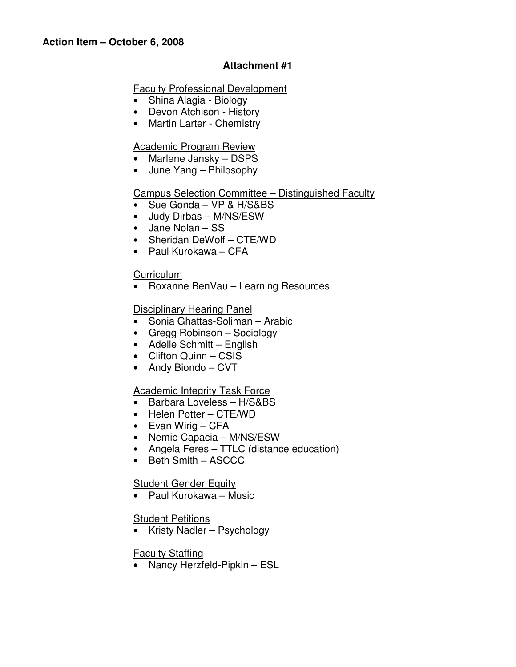# **Attachment #1**

### Faculty Professional Development

- Shina Alagia Biology
- Devon Atchison History
- Martin Larter Chemistry

# Academic Program Review

- Marlene Jansky DSPS
- June Yang Philosophy

# Campus Selection Committee – Distinguished Faculty

- Sue Gonda VP & H/S&BS
- Judy Dirbas M/NS/ESW
- Jane Nolan SS
- Sheridan DeWolf CTE/WD
- Paul Kurokawa CFA

# **Curriculum**

• Roxanne BenVau – Learning Resources

# **Disciplinary Hearing Panel**

- Sonia Ghattas-Soliman Arabic
- Gregg Robinson Sociology
- Adelle Schmitt English
- Clifton Quinn CSIS
- Andy Biondo CVT

# Academic Integrity Task Force

- Barbara Loveless H/S&BS
- Helen Potter CTE/WD
- Evan Wirig CFA
- Nemie Capacia M/NS/ESW
- Angela Feres TTLC (distance education)
- Beth Smith ASCCC

# **Student Gender Equity**

• Paul Kurokawa – Music

# Student Petitions

• Kristy Nadler – Psychology

# Faculty Staffing

• Nancy Herzfeld-Pipkin – ESL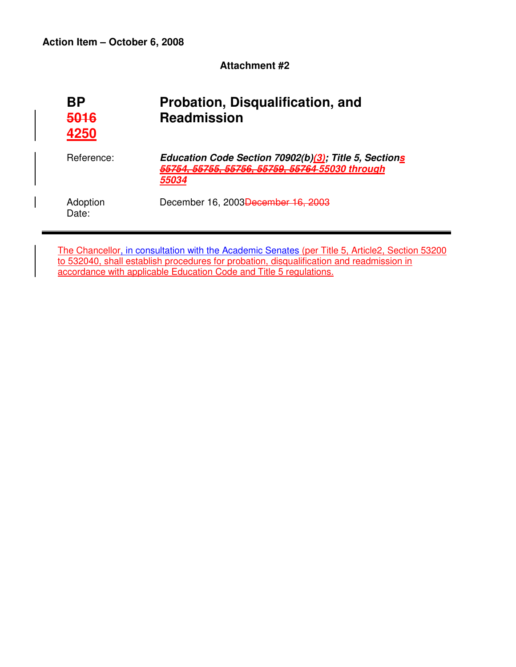**Attachment #2** 

| ΒP<br>5016<br>4250 | Probation, Disqualification, and<br><b>Readmission</b>                                                            |
|--------------------|-------------------------------------------------------------------------------------------------------------------|
| Reference:         | Education Code Section 70902(b)(3); Title 5, Sections<br>55754, 55755, 55756, 55759, 55764-55030 through<br>55034 |
| Adoption<br>Date:  | December 16, 2003 <del>December 16, 2003</del>                                                                    |

The Chancellor, in consultation with the Academic Senates (per Title 5, Article2, Section 53200 to 532040, shall establish procedures for probation, disqualification and readmission in accordance with applicable Education Code and Title 5 regulations.